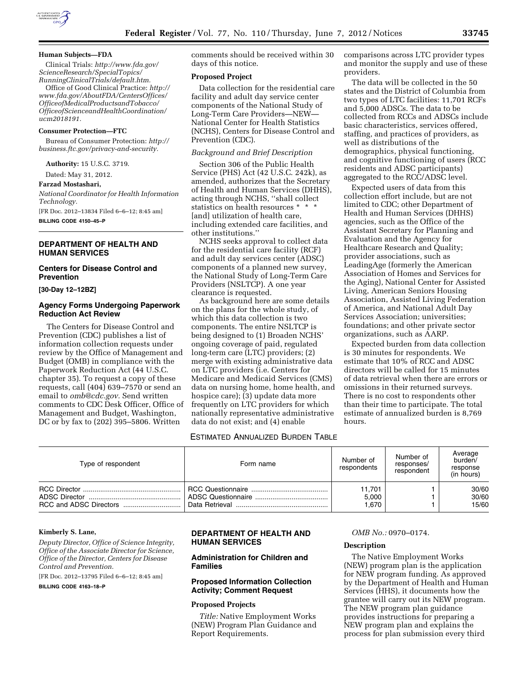

#### **Human Subjects—FDA**

Clinical Trials: *[http://www.fda.gov/](http://www.fda.gov/ScienceResearch/SpecialTopics/RunningClinicalTrials/default.htm)  [ScienceResearch/SpecialTopics/](http://www.fda.gov/ScienceResearch/SpecialTopics/RunningClinicalTrials/default.htm)  [RunningClinicalTrials/default.htm.](http://www.fda.gov/ScienceResearch/SpecialTopics/RunningClinicalTrials/default.htm)* 

Office of Good Clinical Practice: *[http://](http://www.fda.gov/AboutFDA/CentersOffices/OfficeofMedicalProductsandTobacco/OfficeofScienceandHealthCoordination/ucm2018191)  [www.fda.gov/AboutFDA/CentersOffices/](http://www.fda.gov/AboutFDA/CentersOffices/OfficeofMedicalProductsandTobacco/OfficeofScienceandHealthCoordination/ucm2018191)  [OfficeofMedicalProductsandTobacco/](http://www.fda.gov/AboutFDA/CentersOffices/OfficeofMedicalProductsandTobacco/OfficeofScienceandHealthCoordination/ucm2018191)  [OfficeofScienceandHealthCoordination/](http://www.fda.gov/AboutFDA/CentersOffices/OfficeofMedicalProductsandTobacco/OfficeofScienceandHealthCoordination/ucm2018191) [ucm2018191.](http://www.fda.gov/AboutFDA/CentersOffices/OfficeofMedicalProductsandTobacco/OfficeofScienceandHealthCoordination/ucm2018191)* 

#### **Consumer Protection—FTC**

Bureau of Consumer Protection: *[http://](http://business.ftc.gov/privacy-and-security) [business.ftc.gov/privacy-and-security.](http://business.ftc.gov/privacy-and-security)* 

**Authority:** 15 U.S.C. 3719.

Dated: May 31, 2012.

# **Farzad Mostashari,**

*National Coordinator for Health Information Technology.* 

[FR Doc. 2012–13834 Filed 6–6–12; 8:45 am]

**BILLING CODE 4150–45–P** 

# **DEPARTMENT OF HEALTH AND HUMAN SERVICES**

# **Centers for Disease Control and Prevention**

**[30-Day 12–12BZ]** 

# **Agency Forms Undergoing Paperwork Reduction Act Review**

The Centers for Disease Control and Prevention (CDC) publishes a list of information collection requests under review by the Office of Management and Budget (OMB) in compliance with the Paperwork Reduction Act (44 U.S.C. chapter 35). To request a copy of these requests, call (404) 639–7570 or send an email to *[omb@cdc.gov.](mailto:omb@cdc.gov)* Send written comments to CDC Desk Officer, Office of Management and Budget, Washington, DC or by fax to (202) 395–5806. Written

comments should be received within 30 days of this notice.

### **Proposed Project**

Data collection for the residential care facility and adult day service center components of the National Study of Long-Term Care Providers—NEW— National Center for Health Statistics (NCHS), Centers for Disease Control and Prevention (CDC).

#### *Background and Brief Description*

Section 306 of the Public Health Service (PHS) Act (42 U.S.C. 242k), as amended, authorizes that the Secretary of Health and Human Services (DHHS), acting through NCHS, ''shall collect statistics on health resources \* \* \* [and] utilization of health care, including extended care facilities, and other institutions.''

NCHS seeks approval to collect data for the residential care facility (RCF) and adult day services center (ADSC) components of a planned new survey, the National Study of Long-Term Care Providers (NSLTCP). A one year clearance is requested.

As background here are some details on the plans for the whole study, of which this data collection is two components. The entire NSLTCP is being designed to (1) Broaden NCHS' ongoing coverage of paid, regulated long-term care (LTC) providers; (2) merge with existing administrative data on LTC providers (i.e. Centers for Medicare and Medicaid Services (CMS) data on nursing home, home health, and hospice care); (3) update data more frequently on LTC providers for which nationally representative administrative data do not exist; and (4) enable

comparisons across LTC provider types and monitor the supply and use of these providers.

The data will be collected in the 50 states and the District of Columbia from two types of LTC facilities: 11,701 RCFs and 5,000 ADSCs. The data to be collected from RCCs and ADSCs include basic characteristics, services offered, staffing, and practices of providers, as well as distributions of the demographics, physical functioning, and cognitive functioning of users (RCC residents and ADSC participants) aggregated to the RCC/ADSC level.

Expected users of data from this collection effort include, but are not limited to CDC; other Department of Health and Human Services (DHHS) agencies, such as the Office of the Assistant Secretary for Planning and Evaluation and the Agency for Healthcare Research and Quality; provider associations, such as LeadingAge (formerly the American Association of Homes and Services for the Aging), National Center for Assisted Living, American Seniors Housing Association, Assisted Living Federation of America, and National Adult Day Services Association; universities; foundations; and other private sector organizations, such as AARP.

Expected burden from data collection is 30 minutes for respondents. We estimate that 10% of RCC and ADSC directors will be called for 15 minutes of data retrieval when there are errors or omissions in their returned surveys. There is no cost to respondents other than their time to participate. The total estimate of annualized burden is 8,769 hours.

### ESTIMATED ANNUALIZED BURDEN TABLE

| Type of respondent | Form name | Number of<br>respondents | Number of<br>responses/<br>respondent | Average<br>burden/<br>response<br>(in hours) |
|--------------------|-----------|--------------------------|---------------------------------------|----------------------------------------------|
|                    |           | 11.701                   |                                       | 30/60                                        |
|                    |           | 5,000                    |                                       | 30/60                                        |
|                    |           | 1.670                    |                                       | 15/60                                        |

#### **Kimberly S. Lane,**

*Deputy Director, Office of Science Integrity, Office of the Associate Director for Science, Office of the Director, Centers for Disease Control and Prevention.*  [FR Doc. 2012–13795 Filed 6–6–12; 8:45 am]

**BILLING CODE 4163–18–P** 

# **DEPARTMENT OF HEALTH AND HUMAN SERVICES**

# **Administration for Children and Families**

# **Proposed Information Collection Activity; Comment Request**

# **Proposed Projects**

*Title:* Native Employment Works (NEW) Program Plan Guidance and Report Requirements.

*OMB No.:* 0970–0174.

#### **Description**

The Native Employment Works (NEW) program plan is the application for NEW program funding. As approved by the Department of Health and Human Services (HHS), it documents how the grantee will carry out its NEW program. The NEW program plan guidance provides instructions for preparing a NEW program plan and explains the process for plan submission every third